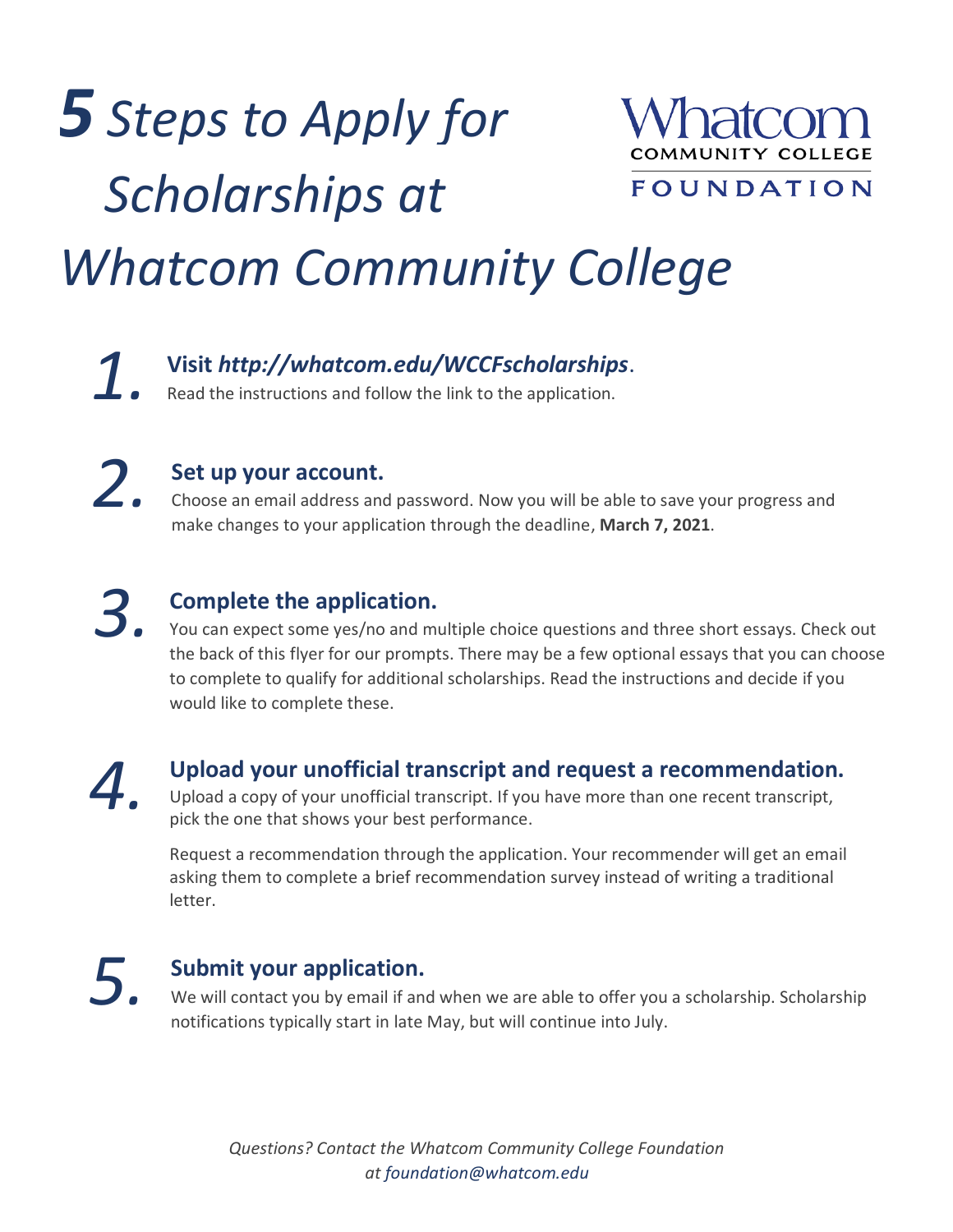# *5 Steps to Apply for Scholarships at*



FOUNDATION

## *Whatcom Community College*

### **1.** Visit *http://whatcom.edu/WCCFscholarships.* **1.** Read the instructions and follow the link to the application.

*2.*

#### **Set up your account.**

Choose an email address and password. Now you will be able to save your progress and make changes to your application through the deadline, **March 7, 2021**.

*3.*

#### **Complete the application.**

You can expect some yes/no and multiple choice questions and three short essays. Check out the back of this flyer for our prompts. There may be a few optional essays that you can choose to complete to qualify for additional scholarships. Read the instructions and decide if you would like to complete these.

*4.*

#### **Upload your unofficial transcript and request a recommendation.**

Upload a copy of your unofficial transcript. If you have more than one recent transcript, pick the one that shows your best performance.

Request a recommendation through the application. Your recommender will get an email asking them to complete a brief recommendation survey instead of writing a traditional letter.

*5.*

#### **Submit your application.**

We will contact you by email if and when we are able to offer you a scholarship. Scholarship notifications typically start in late May, but will continue into July.

*Questions? Contact the Whatcom Community College Foundation at [foundation@whatcom.edu](mailto:foundation@whatcom.edu)*